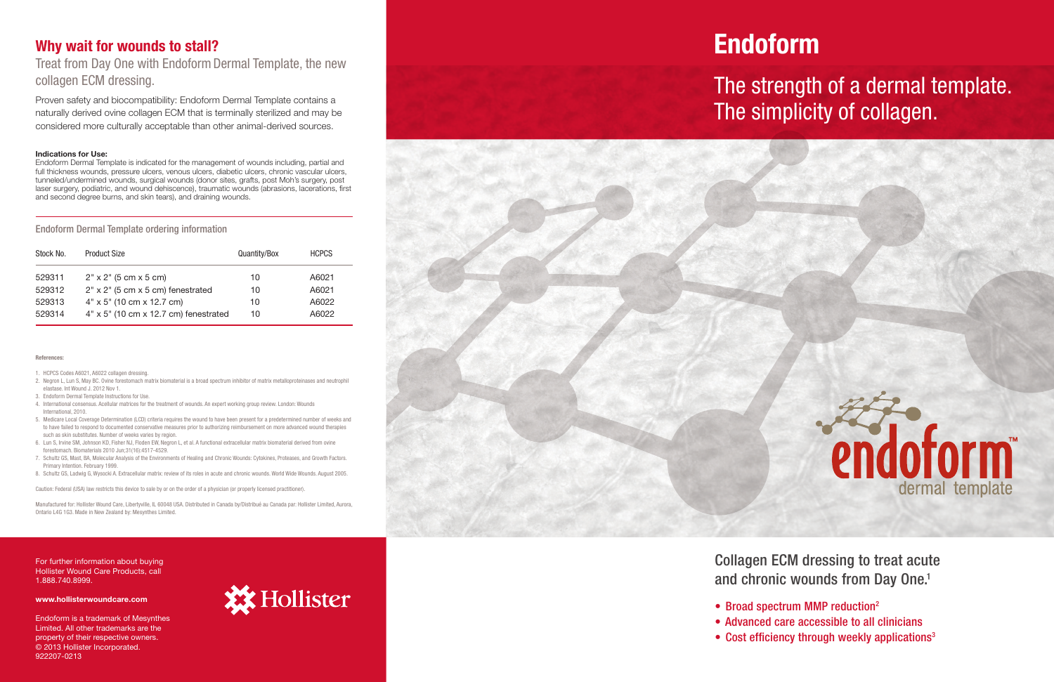## Why wait for wounds to stall?

Treat from Day One with Endoform Dermal Template, the new collagen ECM dressing.

Proven safety and biocompatibility: Endoform Dermal Template contains a naturally derived ovine collagen ECM that is terminally sterilized and may be considered more culturally acceptable than other animal-derived sources.

#### Indications for Use:

Endoform Dermal Template is indicated for the management of wounds including, partial and full thickness wounds, pressure ulcers, venous ulcers, diabetic ulcers, chronic vascular ulcers, tunneled/undermined wounds, surgical wounds (donor sites, grafts, post Moh's surgery, post laser surgery, podiatric, and wound dehiscence), traumatic wounds (abrasions, lacerations, first and second degree burns, and skin tears), and draining wounds.

#### Endoform Dermal Template ordering information

| Stock No. | <b>Product Size</b>                     | Quantity/Box | <b>HCPCS</b> |
|-----------|-----------------------------------------|--------------|--------------|
| 529311    | $2" \times 2"$ (5 cm $\times$ 5 cm)     | 10           | A6021        |
| 529312    | $2"$ x $2"$ (5 cm x 5 cm) fenestrated   | 10           | A6021        |
| 529313    | $4" \times 5"$ (10 cm x 12.7 cm)        | 10           | A6022        |
| 529314    | $4"$ x 5" (10 cm x 12.7 cm) fenestrated | 10           | A6022        |

#### **References**

For further information about buying Hollister Wound Care Products, call 1.888.740.8999.

#### www.hollisterwoundcare.com

Endoform is a trademark of Mesynthes Limited. All other trademarks are the property of their respective owners. © 2013 Hollister Incorporated. 922207-0213



Collagen ECM dressing to treat acute and chronic wounds from Day One.<sup>1</sup>

- 
- 
- 



• Broad spectrum MMP reduction<sup>2</sup> • Advanced care accessible to all clinicians • Cost efficiency through weekly applications<sup>3</sup>

- 1. HCPCS Codes A6021, A6022 collagen dressing.
- 2. Negron L, Lun S, May BC. Ovine forestomach matrix biomaterial is a broad spectrum inhibitor of matrix metalloproteinases and neutrophil elastase. Int Wound J. 2012 Nov 1.
- 3. Endoform Dermal Template Instructions for Use.
- 4. International consensus. Acellular matrices for the treatment of wounds. An expert working group review. London: Wounds International, 2010.
- 5. Medicare Local Coverage Determination (LCD) criteria requires the wound to have been present for a predetermined number of weeks and to have failed to respond to documented conservative measures prior to authorizing reimbursement on more advanced wound therapies such as skin substitutes. Number of weeks varies by region.
- 6. Lun S, Irvine SM, Johnson KD, Fisher NJ, Floden EW, Negron L, et al. A functional extracellular matrix biomaterial derived from ovine forestomach. Biomaterials 2010 Jun;31(16):4517-4529.
- 7. Schultz GS, Mast, BA, Molecular Analysis of the Environments of Healing and Chronic Wounds: Cytokines, Proteases, and Growth Factors. Primary Intention. February 1999.
- 8. Schultz GS, Ladwig G, Wysocki A. Extracellular matrix: review of its roles in acute and chronic wounds. World Wide Wounds. August 2005.

Caution: Federal (USA) law restricts this device to sale by or on the order of a physician (or properly licensed practitioner).

Manufactured for: Hollister Wound Care, Libertyville, IL 60048 USA. Distributed in Canada by/Distribué au Canada par: Hollister Limited, Aurora, Ontario L4G 1G3. Made in New Zealand by: Mesynthes Limited.

# Endoform

# The strength of a dermal template. The simplicity of collagen.